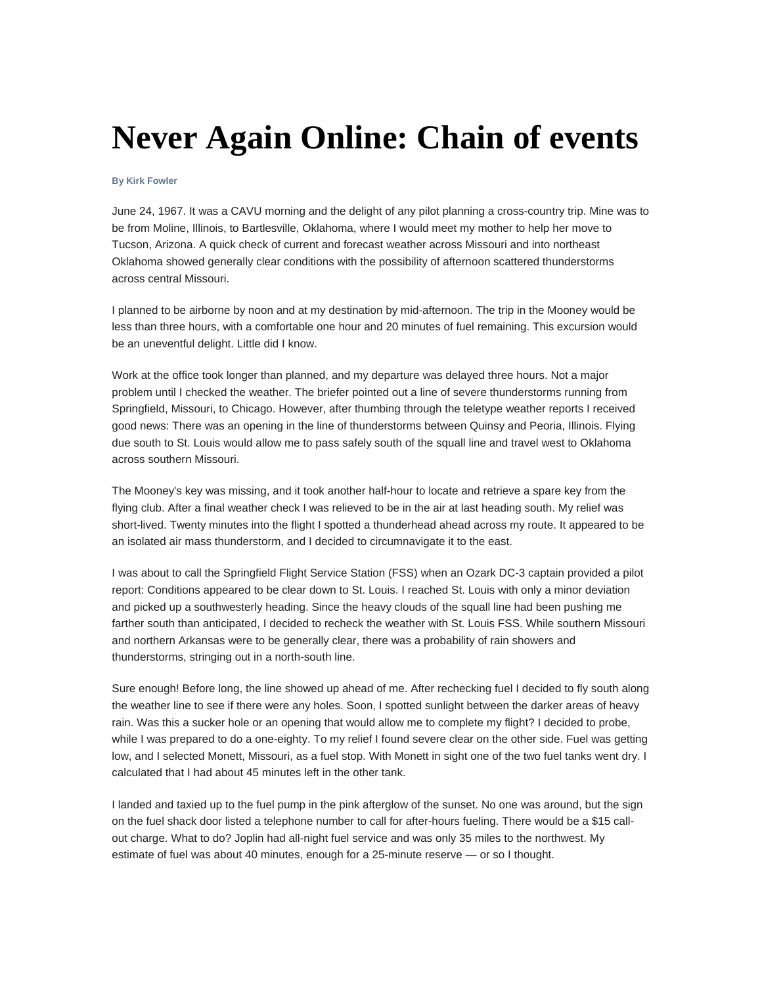## **Never Again Online: Chain of events**

## **By Kirk Fowler**

June 24, 1967. It was a CAVU morning and the delight of any pilot planning a cross-country trip. Mine was to be from Moline, Illinois, to Bartlesville, Oklahoma, where I would meet my mother to help her move to Tucson, Arizona. A quick check of current and forecast weather across Missouri and into northeast Oklahoma showed generally clear conditions with the possibility of afternoon scattered thunderstorms across central Missouri.

I planned to be airborne by noon and at my destination by mid-afternoon. The trip in the Mooney would be less than three hours, with a comfortable one hour and 20 minutes of fuel remaining. This excursion would be an uneventful delight. Little did I know.

Work at the office took longer than planned, and my departure was delayed three hours. Not a major problem until I checked the weather. The briefer pointed out a line of severe thunderstorms running from Springfield, Missouri, to Chicago. However, after thumbing through the teletype weather reports I received good news: There was an opening in the line of thunderstorms between Quinsy and Peoria, Illinois. Flying due south to St. Louis would allow me to pass safely south of the squall line and travel west to Oklahoma across southern Missouri.

The Mooney's key was missing, and it took another half-hour to locate and retrieve a spare key from the flying club. After a final weather check I was relieved to be in the air at last heading south. My relief was short-lived. Twenty minutes into the flight I spotted a thunderhead ahead across my route. It appeared to be an isolated air mass thunderstorm, and I decided to circumnavigate it to the east.

I was about to call the Springfield Flight Service Station (FSS) when an Ozark DC-3 captain provided a pilot report: Conditions appeared to be clear down to St. Louis. I reached St. Louis with only a minor deviation and picked up a southwesterly heading. Since the heavy clouds of the squall line had been pushing me farther south than anticipated, I decided to recheck the weather with St. Louis FSS. While southern Missouri and northern Arkansas were to be generally clear, there was a probability of rain showers and thunderstorms, stringing out in a north-south line.

Sure enough! Before long, the line showed up ahead of me. After rechecking fuel I decided to fly south along the weather line to see if there were any holes. Soon, I spotted sunlight between the darker areas of heavy rain. Was this a sucker hole or an opening that would allow me to complete my flight? I decided to probe, while I was prepared to do a one-eighty. To my relief I found severe clear on the other side. Fuel was getting low, and I selected Monett, Missouri, as a fuel stop. With Monett in sight one of the two fuel tanks went dry. I calculated that I had about 45 minutes left in the other tank.

I landed and taxied up to the fuel pump in the pink afterglow of the sunset. No one was around, but the sign on the fuel shack door listed a telephone number to call for after-hours fueling. There would be a \$15 callout charge. What to do? Joplin had all-night fuel service and was only 35 miles to the northwest. My estimate of fuel was about 40 minutes, enough for a 25-minute reserve — or so I thought.